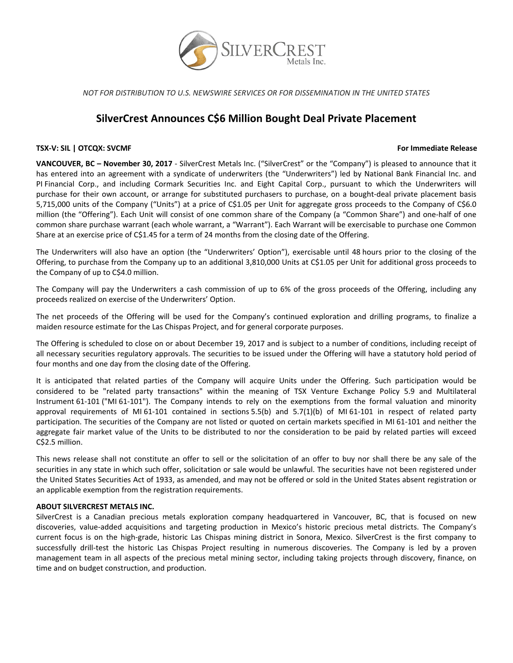

*NOT FOR DISTRIBUTION TO U.S. NEWSWIRE SERVICES OR FOR DISSEMINATION IN THE UNITED STATES*

# **SilverCrest Announces C\$6 Million Bought Deal Private Placement**

# **TSX‐V: SIL | OTCQX: SVCMF For Immediate Release**

**VANCOUVER, BC – November 30, 2017** ‐ SilverCrest Metals Inc. ("SilverCrest" or the "Company") is pleased to announce that it has entered into an agreement with a syndicate of underwriters (the "Underwriters") led by National Bank Financial Inc. and PI Financial Corp., and including Cormark Securities Inc. and Eight Capital Corp., pursuant to which the Underwriters will purchase for their own account, or arrange for substituted purchasers to purchase, on a bought-deal private placement basis 5,715,000 units of the Company ("Units") at a price of C\$1.05 per Unit for aggregate gross proceeds to the Company of C\$6.0 million (the "Offering"). Each Unit will consist of one common share of the Company (a "Common Share") and one‐half of one common share purchase warrant (each whole warrant, a "Warrant"). Each Warrant will be exercisable to purchase one Common Share at an exercise price of C\$1.45 for a term of 24 months from the closing date of the Offering.

The Underwriters will also have an option (the "Underwriters' Option"), exercisable until 48 hours prior to the closing of the Offering, to purchase from the Company up to an additional 3,810,000 Units at C\$1.05 per Unit for additional gross proceeds to the Company of up to C\$4.0 million.

The Company will pay the Underwriters a cash commission of up to 6% of the gross proceeds of the Offering, including any proceeds realized on exercise of the Underwriters' Option.

The net proceeds of the Offering will be used for the Company's continued exploration and drilling programs, to finalize a maiden resource estimate for the Las Chispas Project, and for general corporate purposes.

The Offering is scheduled to close on or about December 19, 2017 and is subject to a number of conditions, including receipt of all necessary securities regulatory approvals. The securities to be issued under the Offering will have a statutory hold period of four months and one day from the closing date of the Offering.

It is anticipated that related parties of the Company will acquire Units under the Offering. Such participation would be considered to be "related party transactions" within the meaning of TSX Venture Exchange Policy 5.9 and Multilateral Instrument 61‐101 ("MI 61‐101"). The Company intends to rely on the exemptions from the formal valuation and minority approval requirements of MI 61‐101 contained in sections 5.5(b) and 5.7(1)(b) of MI 61‐101 in respect of related party participation. The securities of the Company are not listed or quoted on certain markets specified in MI 61‐101 and neither the aggregate fair market value of the Units to be distributed to nor the consideration to be paid by related parties will exceed C\$2.5 million.

This news release shall not constitute an offer to sell or the solicitation of an offer to buy nor shall there be any sale of the securities in any state in which such offer, solicitation or sale would be unlawful. The securities have not been registered under the United States Securities Act of 1933, as amended, and may not be offered or sold in the United States absent registration or an applicable exemption from the registration requirements.

## **ABOUT SILVERCREST METALS INC.**

SilverCrest is a Canadian precious metals exploration company headquartered in Vancouver, BC, that is focused on new discoveries, value‐added acquisitions and targeting production in Mexico's historic precious metal districts. The Company's current focus is on the high‐grade, historic Las Chispas mining district in Sonora, Mexico. SilverCrest is the first company to successfully drill-test the historic Las Chispas Project resulting in numerous discoveries. The Company is led by a proven management team in all aspects of the precious metal mining sector, including taking projects through discovery, finance, on time and on budget construction, and production.